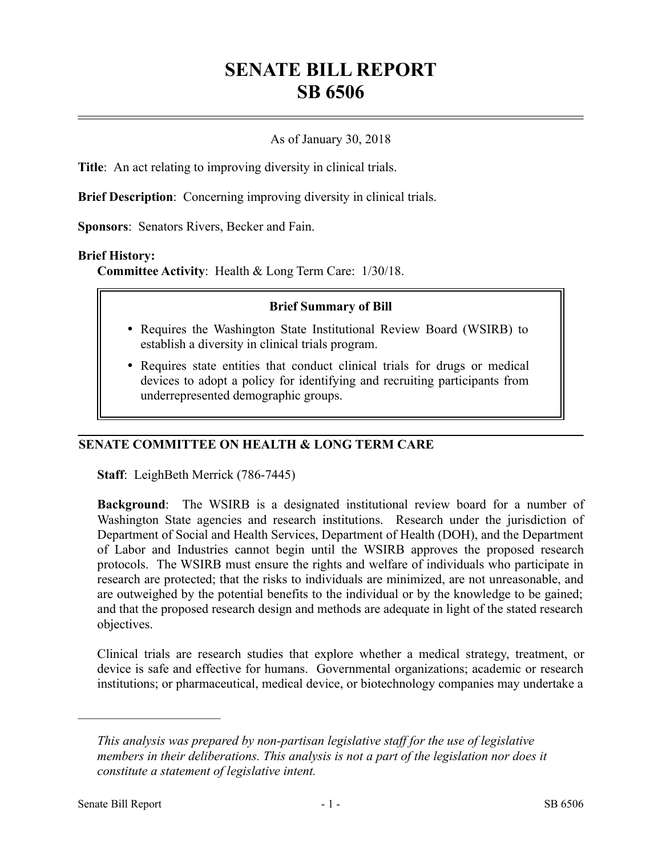# **SENATE BILL REPORT SB 6506**

# As of January 30, 2018

**Title**: An act relating to improving diversity in clinical trials.

**Brief Description**: Concerning improving diversity in clinical trials.

**Sponsors**: Senators Rivers, Becker and Fain.

### **Brief History:**

**Committee Activity**: Health & Long Term Care: 1/30/18.

### **Brief Summary of Bill**

- Requires the Washington State Institutional Review Board (WSIRB) to establish a diversity in clinical trials program.
- Requires state entities that conduct clinical trials for drugs or medical devices to adopt a policy for identifying and recruiting participants from underrepresented demographic groups.

# **SENATE COMMITTEE ON HEALTH & LONG TERM CARE**

**Staff**: LeighBeth Merrick (786-7445)

**Background**: The WSIRB is a designated institutional review board for a number of Washington State agencies and research institutions. Research under the jurisdiction of Department of Social and Health Services, Department of Health (DOH), and the Department of Labor and Industries cannot begin until the WSIRB approves the proposed research protocols. The WSIRB must ensure the rights and welfare of individuals who participate in research are protected; that the risks to individuals are minimized, are not unreasonable, and are outweighed by the potential benefits to the individual or by the knowledge to be gained; and that the proposed research design and methods are adequate in light of the stated research objectives.

Clinical trials are research studies that explore whether a medical strategy, treatment, or device is safe and effective for humans. Governmental organizations; academic or research institutions; or pharmaceutical, medical device, or biotechnology companies may undertake a

––––––––––––––––––––––

*This analysis was prepared by non-partisan legislative staff for the use of legislative members in their deliberations. This analysis is not a part of the legislation nor does it constitute a statement of legislative intent.*